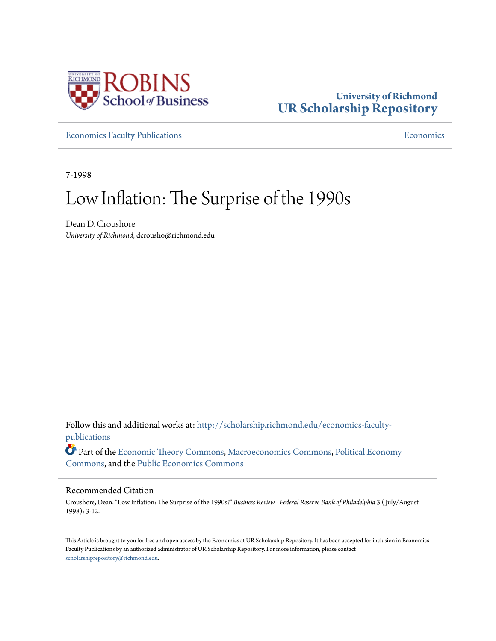

## **University of Richmond [UR Scholarship Repository](http://scholarship.richmond.edu?utm_source=scholarship.richmond.edu%2Feconomics-faculty-publications%2F10&utm_medium=PDF&utm_campaign=PDFCoverPages)**

**[Economics Faculty Publications](http://scholarship.richmond.edu/economics-faculty-publications?utm_source=scholarship.richmond.edu%2Feconomics-faculty-publications%2F10&utm_medium=PDF&utm_campaign=PDFCoverPages) [Economics](http://scholarship.richmond.edu/economics?utm_source=scholarship.richmond.edu%2Feconomics-faculty-publications%2F10&utm_medium=PDF&utm_campaign=PDFCoverPages) Economics Economics Economics Economics Economics Economics Economics Economics Economics Economics Economics Economics Economics Econo** 

7-1998

## Low Inflation: The Surprise of the 1990s

Dean D. Croushore *University of Richmond*, dcrousho@richmond.edu

Follow this and additional works at: [http://scholarship.richmond.edu/economics-faculty](http://scholarship.richmond.edu/economics-faculty-publications?utm_source=scholarship.richmond.edu%2Feconomics-faculty-publications%2F10&utm_medium=PDF&utm_campaign=PDFCoverPages)[publications](http://scholarship.richmond.edu/economics-faculty-publications?utm_source=scholarship.richmond.edu%2Feconomics-faculty-publications%2F10&utm_medium=PDF&utm_campaign=PDFCoverPages)

Part of the [Economic Theory Commons,](http://network.bepress.com/hgg/discipline/344?utm_source=scholarship.richmond.edu%2Feconomics-faculty-publications%2F10&utm_medium=PDF&utm_campaign=PDFCoverPages) [Macroeconomics Commons](http://network.bepress.com/hgg/discipline/350?utm_source=scholarship.richmond.edu%2Feconomics-faculty-publications%2F10&utm_medium=PDF&utm_campaign=PDFCoverPages), [Political Economy](http://network.bepress.com/hgg/discipline/352?utm_source=scholarship.richmond.edu%2Feconomics-faculty-publications%2F10&utm_medium=PDF&utm_campaign=PDFCoverPages) [Commons,](http://network.bepress.com/hgg/discipline/352?utm_source=scholarship.richmond.edu%2Feconomics-faculty-publications%2F10&utm_medium=PDF&utm_campaign=PDFCoverPages) and the [Public Economics Commons](http://network.bepress.com/hgg/discipline/351?utm_source=scholarship.richmond.edu%2Feconomics-faculty-publications%2F10&utm_medium=PDF&utm_campaign=PDFCoverPages)

#### Recommended Citation

Croushore, Dean. "Low Inflation: The Surprise of the 1990s?" *Business Review - Federal Reserve Bank of Philadelphia* 3 ( July/August 1998): 3-12.

This Article is brought to you for free and open access by the Economics at UR Scholarship Repository. It has been accepted for inclusion in Economics Faculty Publications by an authorized administrator of UR Scholarship Repository. For more information, please contact [scholarshiprepository@richmond.edu.](mailto:scholarshiprepository@richmond.edu)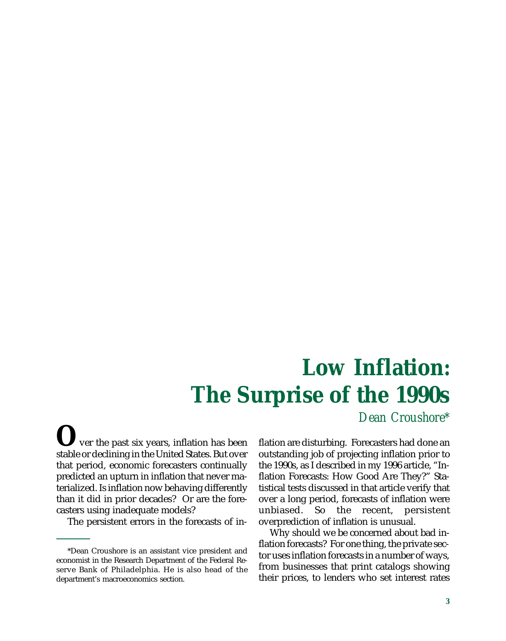# **Low Inflation: The Surprise of the 1990s**

*Dean Croushore\**

**O**ver the past six years, inflation has been stable or declining in the United States. But over that period, economic forecasters continually predicted an upturn in inflation that never materialized. Is inflation now behaving differently than it did in prior decades? Or are the forecasters using inadequate models?

The persistent errors in the forecasts of in-

flation are disturbing. Forecasters had done an outstanding job of projecting inflation prior to the 1990s, as I described in my 1996 article, "Inflation Forecasts: How Good Are They?" Statistical tests discussed in that article verify that over a long period, forecasts of inflation were unbiased. So the recent, persistent overprediction of inflation is unusual.

Why should we be concerned about bad inflation forecasts? For one thing, the private sector uses inflation forecasts in a number of ways, from businesses that print catalogs showing their prices, to lenders who set interest rates

<sup>\*</sup>Dean Croushore is an assistant vice president and economist in the Research Department of the Federal Reserve Bank of Philadelphia. He is also head of the department's macroeconomics section.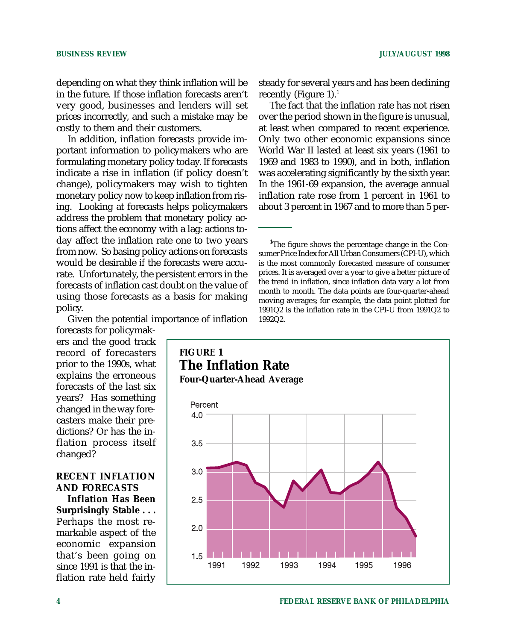depending on what they think inflation will be in the future. If those inflation forecasts aren't very good, businesses and lenders will set prices incorrectly, and such a mistake may be costly to them and their customers.

In addition, inflation forecasts provide important information to policymakers who are formulating monetary policy today. If forecasts indicate a rise in inflation (if policy doesn't change), policymakers may wish to tighten monetary policy now to keep inflation from rising. Looking at forecasts helps policymakers address the problem that monetary policy actions affect the economy with a lag: actions today affect the inflation rate one to two years from now. So basing policy actions on forecasts would be desirable *if* the forecasts were accurate. Unfortunately, the persistent errors in the forecasts of inflation cast doubt on the value of using those forecasts as a basis for making policy.

Given the potential importance of inflation

forecasts for policymakers and the good track record of forecasters prior to the 1990s, what explains the erroneous forecasts of the last six years? Has something changed in the way forecasters make their predictions? Or has the inflation process itself changed?

#### **RECENT INFLATION AND FORECASTS**

**Inflation Has Been Surprisingly Stable . . .** Perhaps the most remarkable aspect of the economic expansion that's been going on since 1991 is that the inflation rate held fairly

steady for several years and has been declining recently (Figure 1).<sup>1</sup>

The fact that the inflation rate has not risen over the period shown in the figure is unusual, at least when compared to recent experience. Only two other economic expansions since World War II lasted at least six years (1961 to 1969 and 1983 to 1990), and in both, inflation was accelerating significantly by the sixth year. In the 1961-69 expansion, the average annual inflation rate rose from 1 percent in 1961 to about 3 percent in 1967 and to more than 5 per-

<sup>1</sup>The figure shows the percentage change in the Consumer Price Index for All Urban Consumers (CPI-U), which is the most commonly forecasted measure of consumer prices. It is averaged over a year to give a better picture of the trend in inflation, since inflation data vary a lot from month to month. The data points are four-quarter-ahead moving averages; for example, the data point plotted for 1991Q2 is the inflation rate in the CPI-U from 1991Q2 to 1992Q2.

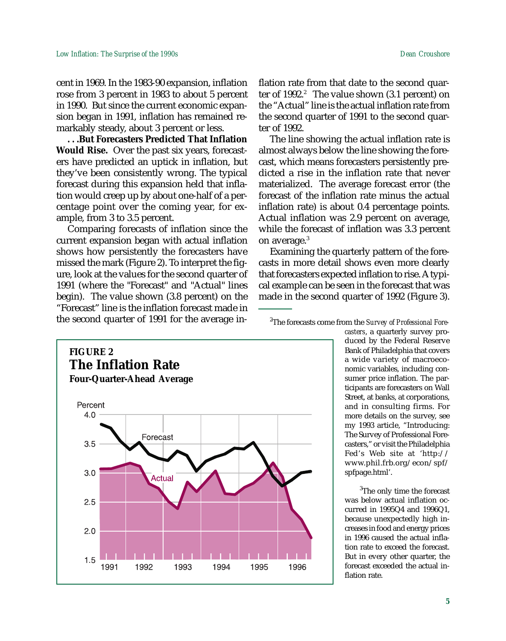cent in 1969. In the 1983-90 expansion, inflation rose from 3 percent in 1983 to about 5 percent in 1990. But since the current economic expansion began in 1991, inflation has remained remarkably steady, about 3 percent or less.

**. . .But Forecasters Predicted That Inflation Would Rise.** Over the past six years, forecasters have predicted an uptick in inflation, but they've been consistently wrong. The typical forecast during this expansion held that inflation would creep up by about one-half of a percentage point over the coming year, for example, from 3 to 3.5 percent.

Comparing forecasts of inflation since the current expansion began with actual inflation shows how persistently the forecasters have missed the mark (Figure 2). To interpret the figure, look at the values for the second quarter of 1991 (where the "Forecast" and "Actual" lines begin). The value shown (3.8 percent) on the "Forecast" line is the inflation forecast made in the second quarter of 1991 for the average inflation rate from that date to the second quarter of  $1992.<sup>2</sup>$  The value shown (3.1 percent) on the "Actual" line is the actual inflation rate from the second quarter of 1991 to the second quarter of 1992.

The line showing the actual inflation rate is almost always below the line showing the forecast, which means forecasters persistently predicted a rise in the inflation rate that never materialized. The average forecast error (the forecast of the inflation rate minus the actual inflation rate) is about 0.4 percentage points. Actual inflation was 2.9 percent on average, while the forecast of inflation was 3.3 percent on average.<sup>3</sup>

Examining the quarterly pattern of the forecasts in more detail shows even more clearly that forecasters expected inflation to rise. A typical example can be seen in the forecast that was made in the second quarter of 1992 (Figure 3).

2 The forecasts come from the *Survey of Professional Fore-*



*casters*, a quarterly survey produced by the Federal Reserve Bank of Philadelphia that covers a wide variety of macroeconomic variables, including consumer price inflation. The participants are forecasters on Wall Street, at banks, at corporations, and in consulting firms. For more details on the survey, see my 1993 article, "Introducing: The Survey of Professional Forecasters," or visit the Philadelphia Fed's Web site at 'http:// www.phil.frb.org/econ/spf/ spfpage.html'.

<sup>3</sup>The only time the forecast was below actual inflation occurred in 1995Q4 and 1996Q1, because unexpectedly high increases in food and energy prices in 1996 caused the actual inflation rate to exceed the forecast. But in every other quarter, the forecast exceeded the actual inflation rate.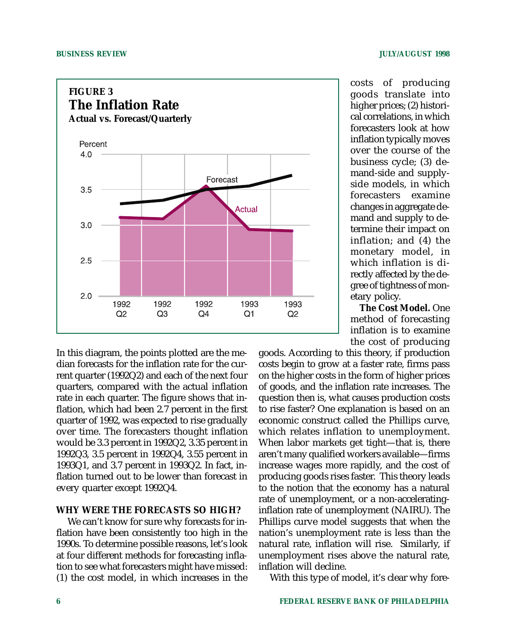

In this diagram, the points plotted are the median forecasts for the inflation rate for the current quarter (1992Q2) and each of the next four quarters, compared with the actual inflation rate in each quarter. The figure shows that inflation, which had been 2.7 percent in the first quarter of 1992, was expected to rise gradually over time. The forecasters thought inflation would be 3.3 percent in 1992Q2, 3.35 percent in 1992Q3, 3.5 percent in 1992Q4, 3.55 percent in 1993Q1, and 3.7 percent in 1993Q2. In fact, inflation turned out to be lower than forecast in every quarter except 1992Q4.

#### **WHY WERE THE FORECASTS SO HIGH?**

We can't know for sure why forecasts for inflation have been consistently too high in the 1990s. To determine possible reasons, let's look at four different methods for forecasting inflation to see what forecasters might have missed: (1) the cost model, in which increases in the

costs of producing goods translate into higher prices; (2) historical correlations, in which forecasters look at how inflation typically moves over the course of the business cycle; (3) demand-side and supplyside models, in which forecasters examine changes in aggregate demand and supply to determine their impact on inflation; and (4) the monetary model, in which inflation is directly affected by the degree of tightness of monetary policy.

**The Cost Model.** One method of forecasting inflation is to examine the cost of producing

goods. According to this theory, if production costs begin to grow at a faster rate, firms pass on the higher costs in the form of higher prices of goods, and the inflation rate increases. The question then is, what causes production costs to rise faster? One explanation is based on an economic construct called the Phillips curve, which relates inflation to unemployment. When labor markets get tight—that is, there aren't many qualified workers available—firms increase wages more rapidly, and the cost of producing goods rises faster. This theory leads to the notion that the economy has a natural rate of unemployment, or a non-acceleratinginflation rate of unemployment (NAIRU). The Phillips curve model suggests that when the nation's unemployment rate is less than the natural rate, inflation will rise. Similarly, if unemployment rises above the natural rate, inflation will decline.

With this type of model, it's clear why fore-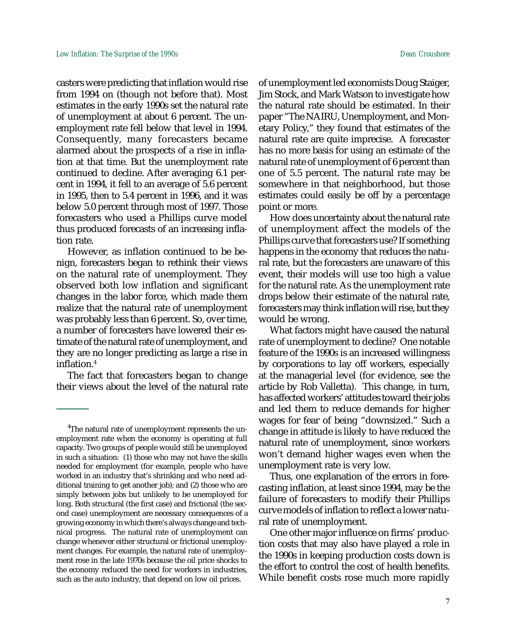casters were predicting that inflation would rise from 1994 on (though not before that). Most estimates in the early 1990s set the natural rate of unemployment at about 6 percent. The unemployment rate fell below that level in 1994. Consequently, many forecasters became alarmed about the prospects of a rise in inflation at that time. But the unemployment rate continued to decline. After averaging 6.1 percent in 1994, it fell to an average of 5.6 percent in 1995, then to 5.4 percent in 1996, and it was below 5.0 percent through most of 1997. Those forecasters who used a Phillips curve model thus produced forecasts of an increasing inflation rate.

However, as inflation continued to be benign, forecasters began to rethink their views on the natural rate of unemployment. They observed both low inflation and significant changes in the labor force, which made them realize that the natural rate of unemployment was probably less than 6 percent. So, over time, a number of forecasters have lowered their estimate of the natural rate of unemployment, and they are no longer predicting as large a rise in inflation.4

The fact that forecasters began to change their views about the level of the natural rate of unemployment led economists Doug Staiger, Jim Stock, and Mark Watson to investigate how the natural rate should be estimated. In their paper "The NAIRU, Unemployment, and Monetary Policy," they found that estimates of the natural rate are quite imprecise. A forecaster has no more basis for using an estimate of the natural rate of unemployment of 6 percent than one of 5.5 percent. The natural rate may be somewhere in that neighborhood, but those estimates could easily be off by a percentage point or more.

How does uncertainty about the natural rate of unemployment affect the models of the Phillips curve that forecasters use? If something happens in the economy that reduces the natural rate, but the forecasters are unaware of this event, their models will use too high a value for the natural rate. As the unemployment rate drops below their estimate of the natural rate, forecasters may think inflation will rise, but they would be wrong.

What factors might have caused the natural rate of unemployment to decline? One notable feature of the 1990s is an increased willingness by corporations to lay off workers, especially at the managerial level (for evidence, see the article by Rob Valletta). This change, in turn, has affected workers' attitudes toward their jobs and led them to reduce demands for higher wages for fear of being "downsized." Such a change in attitude is likely to have reduced the natural rate of unemployment, since workers won't demand higher wages even when the unemployment rate is very low.

Thus, one explanation of the errors in forecasting inflation, at least since 1994, may be the failure of forecasters to modify their Phillips curve models of inflation to reflect a lower natural rate of unemployment.

One other major influence on firms' production costs that may also have played a role in the 1990s in keeping production costs down is the effort to control the cost of health benefits. While benefit costs rose much more rapidly

<sup>&</sup>lt;sup>4</sup>The natural rate of unemployment represents the unemployment rate when the economy is operating at full capacity. Two groups of people would still be unemployed in such a situation: (1) those who may not have the skills needed for employment (for example, people who have worked in an industry that's shrinking and who need additional training to get another job); and (2) those who are simply between jobs but unlikely to be unemployed for long. Both structural (the first case) and frictional (the second case) unemployment are necessary consequences of a growing economy in which there's always change and technical progress. The natural rate of unemployment can change whenever either structural or frictional unemployment changes. For example, the natural rate of unemployment rose in the late 1970s because the oil price shocks to the economy reduced the need for workers in industries, such as the auto industry, that depend on low oil prices.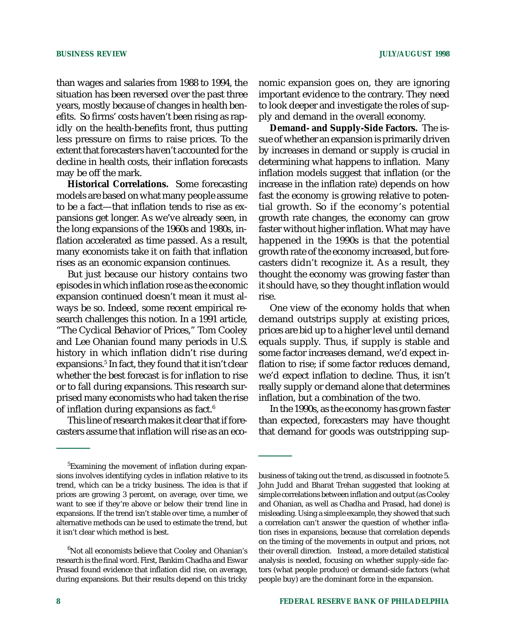than wages and salaries from 1988 to 1994, the situation has been reversed over the past three years, mostly because of changes in health benefits. So firms' costs haven't been rising as rapidly on the health-benefits front, thus putting less pressure on firms to raise prices. To the extent that forecasters haven't accounted for the decline in health costs, their inflation forecasts may be off the mark.

**Historical Correlations.** Some forecasting models are based on what many people assume to be a fact—that inflation tends to rise as expansions get longer. As we've already seen, in the long expansions of the 1960s and 1980s, inflation accelerated as time passed. As a result, many economists take it on faith that inflation rises as an economic expansion continues.

But just because our history contains two episodes in which inflation rose as the economic expansion continued doesn't mean it must always be so. Indeed, some recent empirical research challenges this notion. In a 1991 article, "The Cyclical Behavior of Prices," Tom Cooley and Lee Ohanian found many periods in U.S. history in which inflation didn't rise during expansions.5 In fact, they found that it isn't clear whether the best forecast is for inflation to rise or to fall during expansions. This research surprised many economists who had taken the rise of inflation during expansions as fact.6

This line of research makes it clear that if forecasters assume that inflation will rise as an economic expansion goes on, they are ignoring important evidence to the contrary. They need to look deeper and investigate the roles of supply and demand in the overall economy.

**Demand- and Supply-Side Factors.** The issue of whether an expansion is primarily driven by increases in demand or supply is crucial in determining what happens to inflation. Many inflation models suggest that inflation (or the increase in the inflation rate) depends on how fast the economy is growing relative to potential growth. So if the economy's potential growth rate changes, the economy can grow faster without higher inflation. What may have happened in the 1990s is that the potential growth rate of the economy increased, but forecasters didn't recognize it. As a result, they thought the economy was growing faster than it should have, so they thought inflation would rise.

One view of the economy holds that when demand outstrips supply at existing prices, prices are bid up to a higher level until demand equals supply. Thus, if supply is stable and some factor increases demand, we'd expect inflation to rise; if some factor reduces demand, we'd expect inflation to decline. Thus, it isn't really supply or demand alone that determines inflation, but a combination of the two.

In the 1990s, as the economy has grown faster than expected, forecasters may have thought that demand for goods was outstripping sup-

<sup>&</sup>lt;sup>5</sup>Examining the movement of inflation during expansions involves identifying cycles in inflation relative to its trend, which can be a tricky business. The idea is that if prices are growing 3 percent, on average, over time, we want to see if they're above or below their trend line in expansions. If the trend isn't stable over time, a number of alternative methods can be used to estimate the trend, but it isn't clear which method is best.

 $^6$ Not all economists believe that Cooley and Ohanian's research is the final word. First, Bankim Chadha and Eswar Prasad found evidence that inflation did rise, on average, during expansions. But their results depend on this tricky

business of taking out the trend, as discussed in footnote 5. John Judd and Bharat Trehan suggested that looking at simple correlations between inflation and output (as Cooley and Ohanian, as well as Chadha and Prasad, had done) is misleading. Using a simple example, they showed that such a correlation can't answer the question of whether inflation rises in expansions, because that correlation depends on the timing of the movements in output and prices, not their overall direction. Instead, a more detailed statistical analysis is needed, focusing on whether supply-side factors (what people produce) or demand-side factors (what people buy) are the dominant force in the expansion.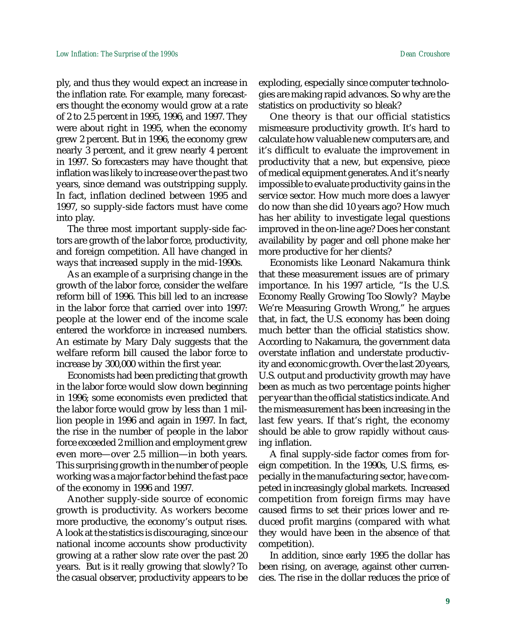ply, and thus they would expect an increase in the inflation rate. For example, many forecasters thought the economy would grow at a rate of 2 to 2.5 percent in 1995, 1996, and 1997. They were about right in 1995, when the economy grew 2 percent. But in 1996, the economy grew nearly 3 percent, and it grew nearly 4 percent in 1997. So forecasters may have thought that inflation was likely to increase over the past two years, since demand was outstripping supply. In fact, inflation declined between 1995 and 1997, so supply-side factors must have come into play.

The three most important supply-side factors are growth of the labor force, productivity, and foreign competition. All have changed in ways that increased supply in the mid-1990s.

As an example of a surprising change in the growth of the labor force, consider the welfare reform bill of 1996. This bill led to an increase in the labor force that carried over into 1997: people at the lower end of the income scale entered the workforce in increased numbers. An estimate by Mary Daly suggests that the welfare reform bill caused the labor force to increase by 300,000 within the first year.

Economists had been predicting that growth in the labor force would slow down beginning in 1996; some economists even predicted that the labor force would grow by less than 1 million people in 1996 and again in 1997. In fact, the rise in the number of people in the labor force exceeded 2 million and employment grew even more—over 2.5 million—in both years. This surprising growth in the number of people working was a major factor behind the fast pace of the economy in 1996 and 1997.

Another supply-side source of economic growth is productivity. As workers become more productive, the economy's output rises. A look at the statistics is discouraging, since our national income accounts show productivity growing at a rather slow rate over the past 20 years. But is it really growing that slowly? To the casual observer, productivity appears to be exploding, especially since computer technologies are making rapid advances. So why are the statistics on productivity so bleak?

One theory is that our official statistics mismeasure productivity growth. It's hard to calculate how valuable new computers are, and it's difficult to evaluate the improvement in productivity that a new, but expensive, piece of medical equipment generates. And it's nearly impossible to evaluate productivity gains in the service sector. How much more does a lawyer do now than she did 10 years ago? How much has her ability to investigate legal questions improved in the on-line age? Does her constant availability by pager and cell phone make her more productive for her clients?

Economists like Leonard Nakamura think that these measurement issues are of primary importance. In his 1997 article, "Is the U.S. Economy Really Growing Too Slowly? Maybe We're Measuring Growth Wrong," he argues that, in fact, the U.S. economy has been doing much better than the official statistics show. According to Nakamura, the government data overstate inflation and understate productivity and economic growth. Over the last 20 years, U.S. output and productivity growth may have been as much as two percentage points higher per year than the official statistics indicate. And the mismeasurement has been increasing in the last few years. If that's right, the economy should be able to grow rapidly without causing inflation.

A final supply-side factor comes from foreign competition. In the 1990s, U.S. firms, especially in the manufacturing sector, have competed in increasingly global markets. Increased competition from foreign firms may have caused firms to set their prices lower and reduced profit margins (compared with what they would have been in the absence of that competition).

In addition, since early 1995 the dollar has been rising, on average, against other currencies. The rise in the dollar reduces the price of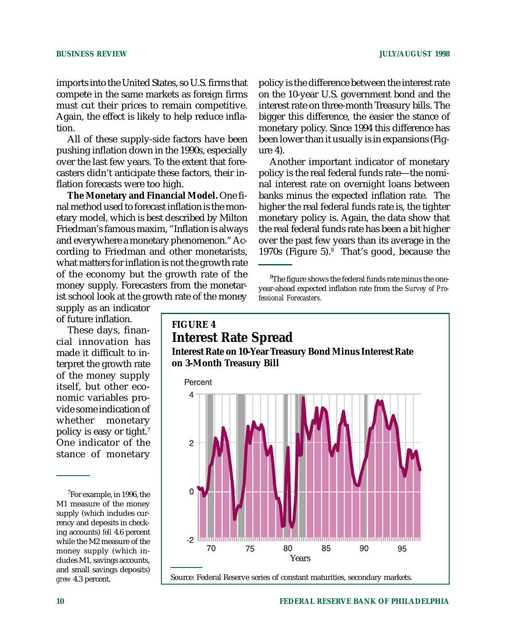imports into the United States, so U.S. firms that compete in the same markets as foreign firms must cut their prices to remain competitive. Again, the effect is likely to help reduce inflation.

All of these supply-side factors have been pushing inflation down in the 1990s, especially over the last few years. To the extent that forecasters didn't anticipate these factors, their inflation forecasts were too high.

**The Monetary and Financial Model.** One final method used to forecast inflation is the monetary model, which is best described by Milton Friedman's famous maxim, "Inflation is always and everywhere a monetary phenomenon." According to Friedman and other monetarists, what matters for inflation is not the growth rate of the economy but the growth rate of the money supply. Forecasters from the monetarist school look at the growth rate of the money

supply as an indicator of future inflation.

These days, financial innovation has made it difficult to interpret the growth rate of the money supply itself, but other economic variables provide some indication of whether monetary policy is easy or tight.7 One indicator of the stance of monetary

policy is the difference between the interest rate on the 10-year U.S. government bond and the interest rate on three-month Treasury bills. The bigger this difference, the easier the stance of monetary policy. Since 1994 this difference has been lower than it usually is in expansions (Figure 4).

Another important indicator of monetary policy is the real federal funds rate—the nominal interest rate on overnight loans between banks minus the expected inflation rate. The higher the real federal funds rate is, the tighter monetary policy is. Again, the data show that the real federal funds rate has been a bit higher over the past few years than its average in the 1970s (Figure 5).<sup>8</sup> That's good, because the

 ${}^{8}$ The figure shows the federal funds rate minus the oneyear-ahead expected inflation rate from the *Survey of Professional Forecasters.*



<sup>&</sup>lt;sup>7</sup>For example, in 1996, the M1 measure of the money supply (which includes currency and deposits in checking accounts) *fell* 4.6 percent while the M2 measure of the money supply (which includes M1, savings accounts, and small savings deposits) *grew* 4.3 percent.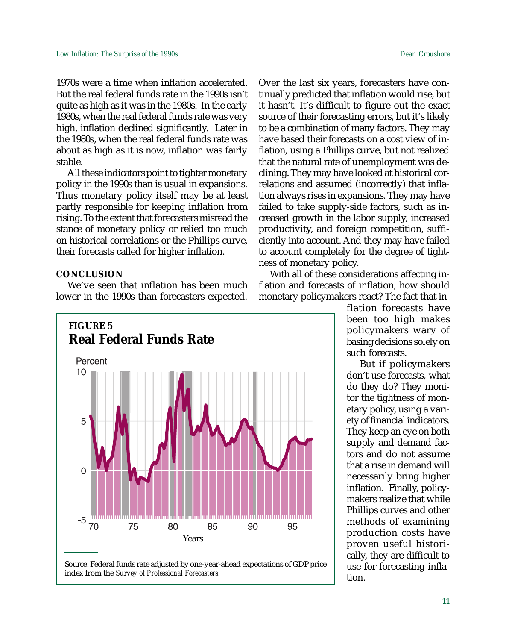1970s were a time when inflation accelerated. But the real federal funds rate in the 1990s isn't quite as high as it was in the 1980s. In the early 1980s, when the real federal funds rate was very high, inflation declined significantly. Later in the 1980s, when the real federal funds rate was about as high as it is now, inflation was fairly stable.

All these indicators point to tighter monetary policy in the 1990s than is usual in expansions. Thus monetary policy itself may be at least partly responsible for keeping inflation from rising. To the extent that forecasters misread the stance of monetary policy or relied too much on historical correlations or the Phillips curve, their forecasts called for higher inflation.

#### **CONCLUSION**

We've seen that inflation has been much lower in the 1990s than forecasters expected.



Source: Federal funds rate adjusted by one-year-ahead expectations of GDP price index from the *Survey of Professional Forecasters.*

Over the last six years, forecasters have continually predicted that inflation would rise, but it hasn't. It's difficult to figure out the exact source of their forecasting errors, but it's likely to be a combination of many factors. They may have based their forecasts on a cost view of inflation, using a Phillips curve, but not realized that the natural rate of unemployment was declining. They may have looked at historical correlations and assumed (incorrectly) that inflation always rises in expansions. They may have failed to take supply-side factors, such as increased growth in the labor supply, increased productivity, and foreign competition, sufficiently into account. And they may have failed to account completely for the degree of tightness of monetary policy.

With all of these considerations affecting inflation and forecasts of inflation, how should monetary policymakers react? The fact that in-

> flation forecasts have been too high makes policymakers wary of basing decisions solely on such forecasts.

> But if policymakers don't use forecasts, what do they do? They monitor the tightness of monetary policy, using a variety of financial indicators. They keep an eye on both supply and demand factors and do not assume that a rise in demand will necessarily bring higher inflation. Finally, policymakers realize that while Phillips curves and other methods of examining production costs have proven useful historically, they are difficult to use for forecasting inflation.